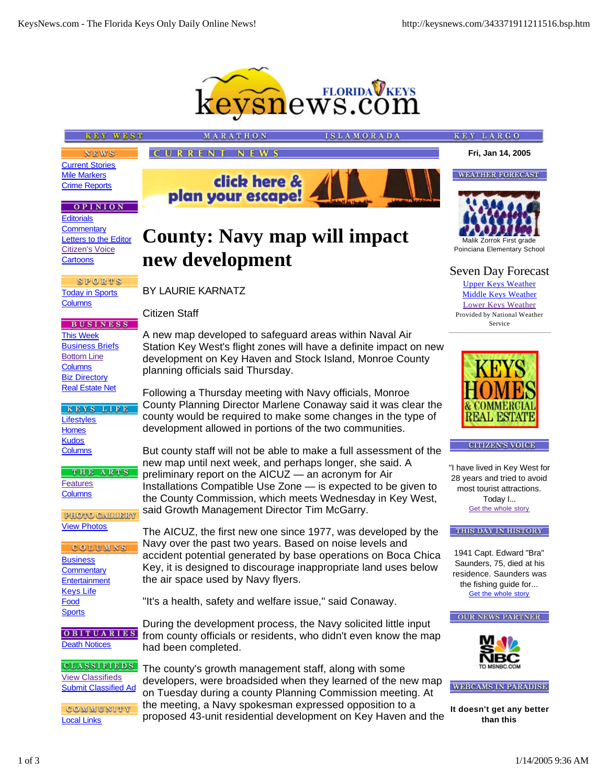**Fri, Jan 14, 2005**

**WEATHER FORECAST** 

**KEY LARGO** 

Malik Zorrok First grade Poinciana Elementary School

Seven Day Forecast Upper Keys Weather Middle Keys Weather Lower Keys Weather Provided by National Weather



**SLAMORADA** 

# **KEY WEST**

**NEWS** Current Stories Mile Markers Crime Reports

### **OPINION**

**Editorials Commentary** Letters to the Editor Citizen's Voice **Cartoons** 

SPORTS Today in Sports **Columns** 

**BUSINESS** This Week **Business Briefs** Bottom Line **Columns** Biz Directory Real Estate Net

KEYS LIFE **Lifestyles Homes Kudos Columns** 

THE ARTS Features **Columns** 

PROPO GALLERY View Photos

COLUMNS **Business Commentary Entertainment** Keys Life Food **Sports** 

**OBITUARIES** Death Notices

**CLASSIFIEDS** View Classifieds Submit Classified Ad

COMMUNITY Local Links

**County: Navy map will impact new development**

click here &

MARATHON

plan your escape!

**CURRENT NEWS** 

# BY LAURIE KARNATZ

Citizen Staff

A new map developed to safeguard areas within Naval Air Station Key West's flight zones will have a definite impact on new development on Key Haven and Stock Island, Monroe County planning officials said Thursday.

Following a Thursday meeting with Navy officials, Monroe County Planning Director Marlene Conaway said it was clear the county would be required to make some changes in the type of development allowed in portions of the two communities.

But county staff will not be able to make a full assessment of the new map until next week, and perhaps longer, she said. A preliminary report on the AICUZ — an acronym for Air Installations Compatible Use Zone — is expected to be given to the County Commission, which meets Wednesday in Key West, said Growth Management Director Tim McGarry.

The AICUZ, the first new one since 1977, was developed by the Navy over the past two years. Based on noise levels and accident potential generated by base operations on Boca Chica Key, it is designed to discourage inappropriate land uses below the air space used by Navy flyers.

"It's a health, safety and welfare issue," said Conaway.

During the development process, the Navy solicited little input from county officials or residents, who didn't even know the map had been completed.

The county's growth management staff, along with some developers, were broadsided when they learned of the new map on Tuesday during a county Planning Commission meeting. At the meeting, a Navy spokesman expressed opposition to a proposed 43-unit residential development on Key Haven and the



**CITIZEN'S VOICE** 

"I have lived in Key West for 28 years and tried to avoid most tourist attractions. Today I... Get the whole story

**THIS DAY IN HISTORY** 

1941 Capt. Edward "Bra" Saunders, 75, died at his residence. Saunders was the fishing guide for... Get the whole story





**WEBCAMS IN PARADISE** 

**It doesn't get any better than this**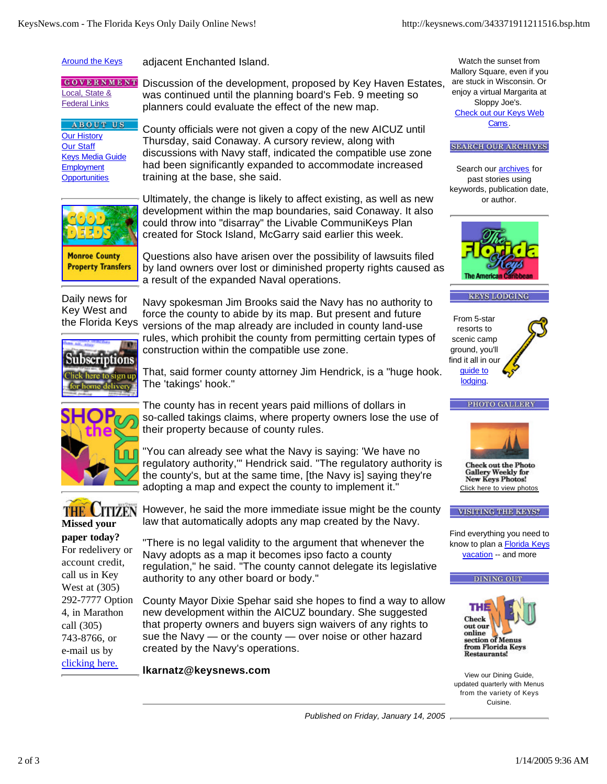#### **Around the Keys** adjacent Enchanted Island.

**GOVERNMENT** Local, State & Federal Links

**ABOUT US** Our History Our Staff Keys Media Guide **Employment Opportunities** 

Discussion of the development, proposed by Key Haven Estates, was continued until the planning board's Feb. 9 meeting so planners could evaluate the effect of the new map.

County officials were not given a copy of the new AICUZ until Thursday, said Conaway. A cursory review, along with discussions with Navy staff, indicated the compatible use zone had been significantly expanded to accommodate increased training at the base, she said.



Ultimately, the change is likely to affect existing, as well as new development within the map boundaries, said Conaway. It also could throw into "disarray" the Livable CommuniKeys Plan created for Stock Island, McGarry said earlier this week.

**Monroe County Property Transfers**  Questions also have arisen over the possibility of lawsuits filed by land owners over lost or diminished property rights caused as a result of the expanded Naval operations.

Daily news for Key West and the Florida Keys

Navy spokesman Jim Brooks said the Navy has no authority to force the county to abide by its map. But present and future versions of the map already are included in county land-use rules, which prohibit the county from permitting certain types of construction within the compatible use zone.



That, said former county attorney Jim Hendrick, is a "huge hook. The 'takings' hook."



The county has in recent years paid millions of dollars in so-called takings claims, where property owners lose the use of their property because of county rules.



regulatory authority,'" Hendrick said. "The regulatory authority is the county's, but at the same time, [the Navy is] saying they're adopting a map and expect the county to implement it."



**paper today?** For redelivery or account credit, call us in Key West at (305) 292-7777 Option 4, in Marathon call (305) 743-8766, or e-mail us by clicking here.

However, he said the more immediate issue might be the county law that automatically adopts any map created by the Navy.

"There is no legal validity to the argument that whenever the Navy adopts as a map it becomes ipso facto a county regulation," he said. "The county cannot delegate its legislative authority to any other board or body."

County Mayor Dixie Spehar said she hopes to find a way to allow new development within the AICUZ boundary. She suggested that property owners and buyers sign waivers of any rights to sue the Navy — or the county — over noise or other hazard created by the Navy's operations.

**lkarnatz@keysnews.com**

Watch the sunset from Mallory Square, even if you are stuck in Wisconsin. Or enjoy a virtual Margarita at Sloppy Joe's. Check out our Keys Web Cams.

### **SEARCH OUR ARCHIVES**

Search our **archives** for past stories using keywords, publication date, or author.



#### **KEYS LODGING**

From 5-star resorts to scenic camp ground, you'll find it all in our guide to lodging.



**Check out the Photo Gallery Weekly for** New Keys Photos! Click here to view photos

### **VISITING THE KEYS?**

Find everything you need to know to plan a **Florida Keys** vacation -- and more

#### **DINING OUT**



View our Dining Guide, updated quarterly with Menus from the variety of Keys Cuisine.

*Published on Friday, January 14, 2005*